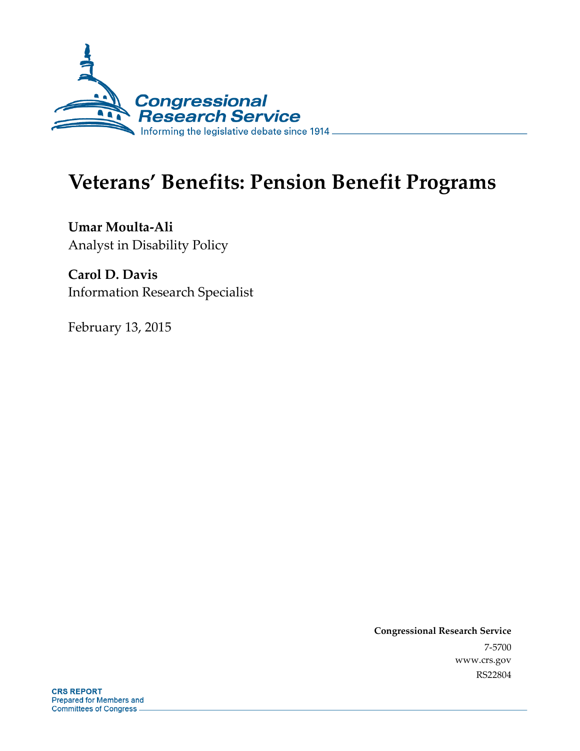

# **Veterans' Benefits: Pension Benefit Programs**

**Umar Moulta-Ali**  Analyst in Disability Policy

**Carol D. Davis**  Information Research Specialist

February 13, 2015

**Congressional Research Service**  7-5700 www.crs.gov RS22804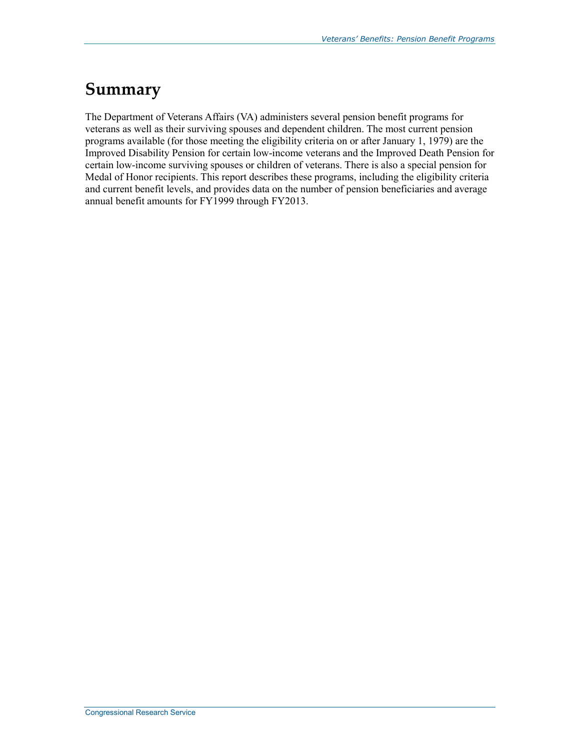## **Summary**

The Department of Veterans Affairs (VA) administers several pension benefit programs for veterans as well as their surviving spouses and dependent children. The most current pension programs available (for those meeting the eligibility criteria on or after January 1, 1979) are the Improved Disability Pension for certain low-income veterans and the Improved Death Pension for certain low-income surviving spouses or children of veterans. There is also a special pension for Medal of Honor recipients. This report describes these programs, including the eligibility criteria and current benefit levels, and provides data on the number of pension beneficiaries and average annual benefit amounts for FY1999 through FY2013.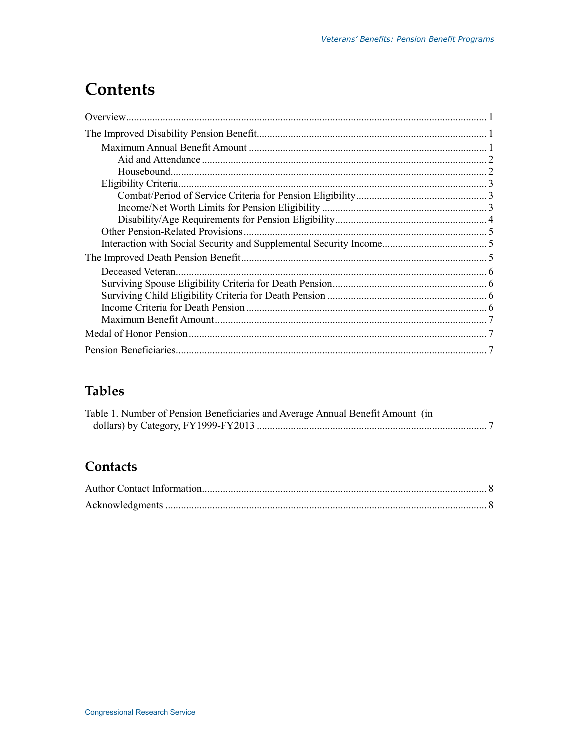## **Contents**

### **Tables**

| Table 1. Number of Pension Beneficiaries and Average Annual Benefit Amount (in |  |
|--------------------------------------------------------------------------------|--|
|                                                                                |  |

### Contacts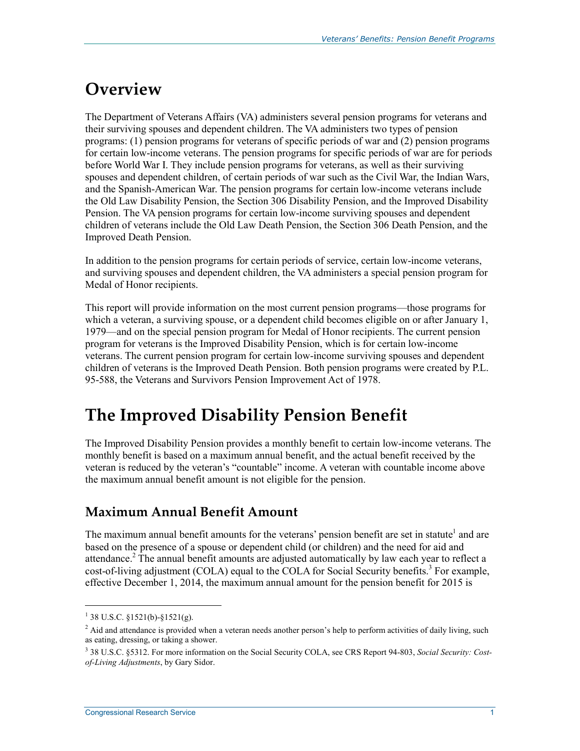## **Overview**

The Department of Veterans Affairs (VA) administers several pension programs for veterans and their surviving spouses and dependent children. The VA administers two types of pension programs: (1) pension programs for veterans of specific periods of war and (2) pension programs for certain low-income veterans. The pension programs for specific periods of war are for periods before World War I. They include pension programs for veterans, as well as their surviving spouses and dependent children, of certain periods of war such as the Civil War, the Indian Wars, and the Spanish-American War. The pension programs for certain low-income veterans include the Old Law Disability Pension, the Section 306 Disability Pension, and the Improved Disability Pension. The VA pension programs for certain low-income surviving spouses and dependent children of veterans include the Old Law Death Pension, the Section 306 Death Pension, and the Improved Death Pension.

In addition to the pension programs for certain periods of service, certain low-income veterans, and surviving spouses and dependent children, the VA administers a special pension program for Medal of Honor recipients.

This report will provide information on the most current pension programs—those programs for which a veteran, a surviving spouse, or a dependent child becomes eligible on or after January 1, 1979—and on the special pension program for Medal of Honor recipients. The current pension program for veterans is the Improved Disability Pension, which is for certain low-income veterans. The current pension program for certain low-income surviving spouses and dependent children of veterans is the Improved Death Pension. Both pension programs were created by P.L. 95-588, the Veterans and Survivors Pension Improvement Act of 1978.

## **The Improved Disability Pension Benefit**

The Improved Disability Pension provides a monthly benefit to certain low-income veterans. The monthly benefit is based on a maximum annual benefit, and the actual benefit received by the veteran is reduced by the veteran's "countable" income. A veteran with countable income above the maximum annual benefit amount is not eligible for the pension.

### **Maximum Annual Benefit Amount**

The maximum annual benefit amounts for the veterans' pension benefit are set in statute<sup>1</sup> and are based on the presence of a spouse or dependent child (or children) and the need for aid and attendance.<sup>2</sup> The annual benefit amounts are adjusted automatically by law each year to reflect a cost-of-living adjustment (COLA) equal to the COLA for Social Security benefits.<sup>3</sup> For example, effective December 1, 2014, the maximum annual amount for the pension benefit for 2015 is

 $1$  38 U.S.C. §1521(b)-§1521(g).

<sup>&</sup>lt;sup>2</sup> Aid and attendance is provided when a veteran needs another person's help to perform activities of daily living, such as eating, dressing, or taking a shower.

<sup>3</sup> 38 U.S.C. §5312. For more information on the Social Security COLA, see CRS Report 94-803, *Social Security: Costof-Living Adjustments*, by Gary Sidor.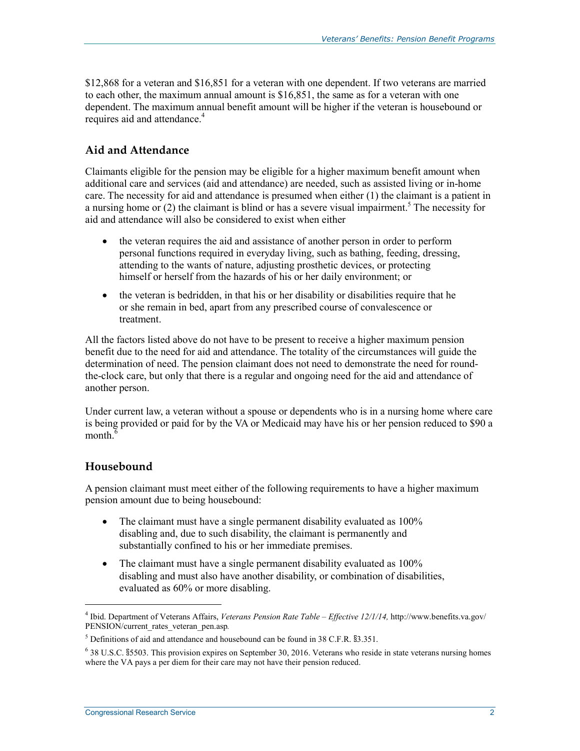\$12,868 for a veteran and \$16,851 for a veteran with one dependent. If two veterans are married to each other, the maximum annual amount is \$16,851, the same as for a veteran with one dependent. The maximum annual benefit amount will be higher if the veteran is housebound or requires aid and attendance.<sup>4</sup>

#### **Aid and Attendance**

Claimants eligible for the pension may be eligible for a higher maximum benefit amount when additional care and services (aid and attendance) are needed, such as assisted living or in-home care. The necessity for aid and attendance is presumed when either (1) the claimant is a patient in a nursing home or  $(2)$  the claimant is blind or has a severe visual impairment.<sup>5</sup> The necessity for aid and attendance will also be considered to exist when either

- the veteran requires the aid and assistance of another person in order to perform personal functions required in everyday living, such as bathing, feeding, dressing, attending to the wants of nature, adjusting prosthetic devices, or protecting himself or herself from the hazards of his or her daily environment; or
- the veteran is bedridden, in that his or her disability or disabilities require that he or she remain in bed, apart from any prescribed course of convalescence or treatment.

All the factors listed above do not have to be present to receive a higher maximum pension benefit due to the need for aid and attendance. The totality of the circumstances will guide the determination of need. The pension claimant does not need to demonstrate the need for roundthe-clock care, but only that there is a regular and ongoing need for the aid and attendance of another person.

Under current law, a veteran without a spouse or dependents who is in a nursing home where care is being provided or paid for by the VA or Medicaid may have his or her pension reduced to \$90 a month $<sup>6</sup>$ </sup>

#### **Housebound**

 $\overline{a}$ 

A pension claimant must meet either of the following requirements to have a higher maximum pension amount due to being housebound:

- The claimant must have a single permanent disability evaluated as 100% disabling and, due to such disability, the claimant is permanently and substantially confined to his or her immediate premises.
- The claimant must have a single permanent disability evaluated as 100% disabling and must also have another disability, or combination of disabilities, evaluated as 60% or more disabling.

<sup>4</sup> Ibid. Department of Veterans Affairs, *Veterans Pension Rate Table – Effective 12/1/14,* http://www.benefits.va.gov/ PENSION/current\_rates\_veteran\_pen.asp*.*

<sup>5</sup> Definitions of aid and attendance and housebound can be found in 38 C.F.R. §3.351.

<sup>6</sup> 38 U.S.C. §5503. This provision expires on September 30, 2016. Veterans who reside in state veterans nursing homes where the VA pays a per diem for their care may not have their pension reduced.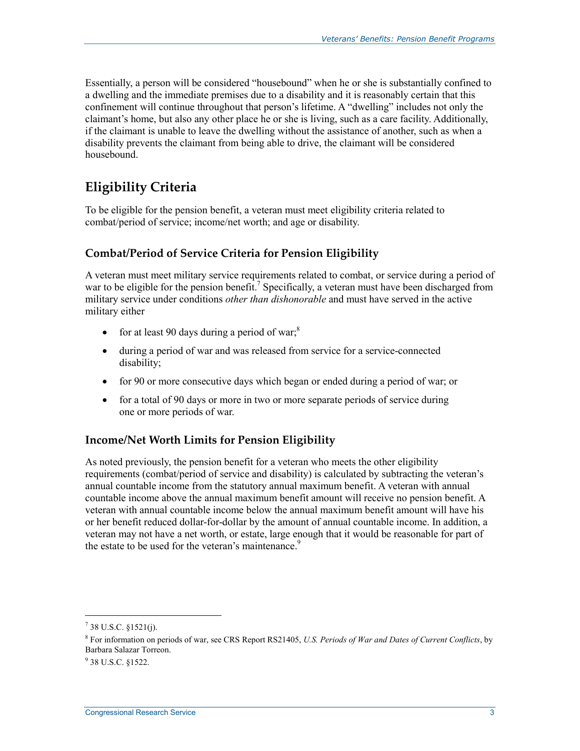Essentially, a person will be considered "housebound" when he or she is substantially confined to a dwelling and the immediate premises due to a disability and it is reasonably certain that this confinement will continue throughout that person's lifetime. A "dwelling" includes not only the claimant's home, but also any other place he or she is living, such as a care facility. Additionally, if the claimant is unable to leave the dwelling without the assistance of another, such as when a disability prevents the claimant from being able to drive, the claimant will be considered housebound.

### **Eligibility Criteria**

To be eligible for the pension benefit, a veteran must meet eligibility criteria related to combat/period of service; income/net worth; and age or disability.

#### **Combat/Period of Service Criteria for Pension Eligibility**

A veteran must meet military service requirements related to combat, or service during a period of war to be eligible for the pension benefit.<sup>7</sup> Specifically, a veteran must have been discharged from military service under conditions *other than dishonorable* and must have served in the active military either

- for at least 90 days during a period of war;<sup>8</sup>
- during a period of war and was released from service for a service-connected disability;
- for 90 or more consecutive days which began or ended during a period of war; or
- for a total of 90 days or more in two or more separate periods of service during one or more periods of war.

#### **Income/Net Worth Limits for Pension Eligibility**

As noted previously, the pension benefit for a veteran who meets the other eligibility requirements (combat/period of service and disability) is calculated by subtracting the veteran's annual countable income from the statutory annual maximum benefit. A veteran with annual countable income above the annual maximum benefit amount will receive no pension benefit. A veteran with annual countable income below the annual maximum benefit amount will have his or her benefit reduced dollar-for-dollar by the amount of annual countable income. In addition, a veteran may not have a net worth, or estate, large enough that it would be reasonable for part of the estate to be used for the veteran's maintenance.<sup>9</sup>

 $^7$  38 U.S.C. §1521(j).

<sup>8</sup> For information on periods of war, see CRS Report RS21405, *U.S. Periods of War and Dates of Current Conflicts*, by Barbara Salazar Torreon.

<sup>&</sup>lt;sup>9</sup> 38 U.S.C. §1522.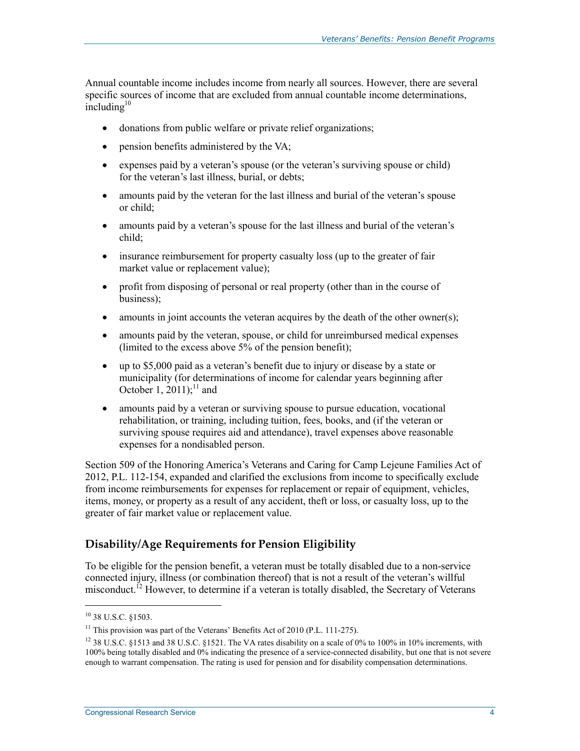Annual countable income includes income from nearly all sources. However, there are several specific sources of income that are excluded from annual countable income determinations,  $in$ cluding $10$ 

- donations from public welfare or private relief organizations;
- pension benefits administered by the VA;
- expenses paid by a veteran's spouse (or the veteran's surviving spouse or child) for the veteran's last illness, burial, or debts;
- amounts paid by the veteran for the last illness and burial of the veteran's spouse or child;
- amounts paid by a veteran's spouse for the last illness and burial of the veteran's child;
- insurance reimbursement for property casualty loss (up to the greater of fair market value or replacement value);
- profit from disposing of personal or real property (other than in the course of business);
- amounts in joint accounts the veteran acquires by the death of the other owner(s);
- amounts paid by the veteran, spouse, or child for unreimbursed medical expenses (limited to the excess above 5% of the pension benefit);
- up to \$5,000 paid as a veteran's benefit due to injury or disease by a state or municipality (for determinations of income for calendar years beginning after October 1, 2011);<sup>11</sup> and
- amounts paid by a veteran or surviving spouse to pursue education, vocational rehabilitation, or training, including tuition, fees, books, and (if the veteran or surviving spouse requires aid and attendance), travel expenses above reasonable expenses for a nondisabled person.

Section 509 of the Honoring America's Veterans and Caring for Camp Lejeune Families Act of 2012, P.L. 112-154, expanded and clarified the exclusions from income to specifically exclude from income reimbursements for expenses for replacement or repair of equipment, vehicles, items, money, or property as a result of any accident, theft or loss, or casualty loss, up to the greater of fair market value or replacement value.

#### **Disability/Age Requirements for Pension Eligibility**

To be eligible for the pension benefit, a veteran must be totally disabled due to a non-service connected injury, illness (or combination thereof) that is not a result of the veteran's willful misconduct.<sup>12</sup> However, to determine if a veteran is totally disabled, the Secretary of Veterans

<sup>10 38</sup> U.S.C. §1503.

<sup>&</sup>lt;sup>11</sup> This provision was part of the Veterans' Benefits Act of 2010 (P.L. 111-275).

<sup>&</sup>lt;sup>12</sup> 38 U.S.C. §1513 and 38 U.S.C. §1521. The VA rates disability on a scale of 0% to 100% in 10% increments, with 100% being totally disabled and 0% indicating the presence of a service-connected disability, but one that is not severe enough to warrant compensation. The rating is used for pension and for disability compensation determinations.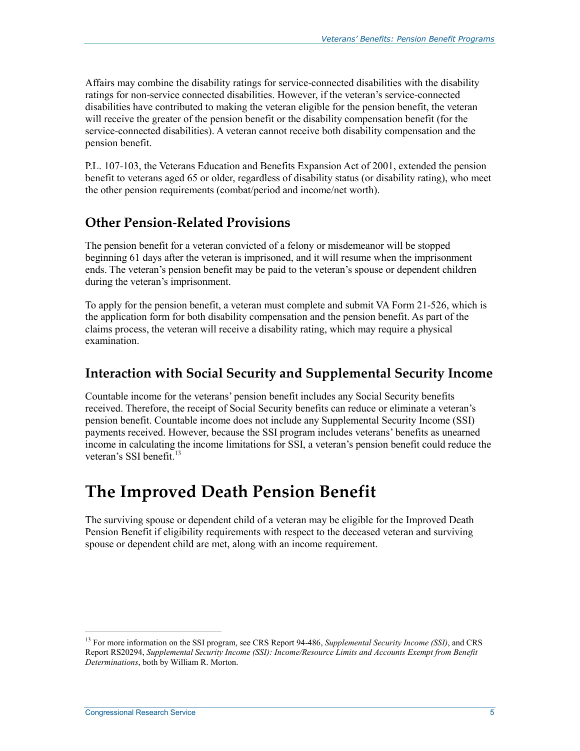Affairs may combine the disability ratings for service-connected disabilities with the disability ratings for non-service connected disabilities. However, if the veteran's service-connected disabilities have contributed to making the veteran eligible for the pension benefit, the veteran will receive the greater of the pension benefit or the disability compensation benefit (for the service-connected disabilities). A veteran cannot receive both disability compensation and the pension benefit.

P.L. 107-103, the Veterans Education and Benefits Expansion Act of 2001, extended the pension benefit to veterans aged 65 or older, regardless of disability status (or disability rating), who meet the other pension requirements (combat/period and income/net worth).

#### **Other Pension-Related Provisions**

The pension benefit for a veteran convicted of a felony or misdemeanor will be stopped beginning 61 days after the veteran is imprisoned, and it will resume when the imprisonment ends. The veteran's pension benefit may be paid to the veteran's spouse or dependent children during the veteran's imprisonment.

To apply for the pension benefit, a veteran must complete and submit VA Form 21-526, which is the application form for both disability compensation and the pension benefit. As part of the claims process, the veteran will receive a disability rating, which may require a physical examination.

#### **Interaction with Social Security and Supplemental Security Income**

Countable income for the veterans' pension benefit includes any Social Security benefits received. Therefore, the receipt of Social Security benefits can reduce or eliminate a veteran's pension benefit. Countable income does not include any Supplemental Security Income (SSI) payments received. However, because the SSI program includes veterans' benefits as unearned income in calculating the income limitations for SSI, a veteran's pension benefit could reduce the veteran's SSI benefit.<sup>13</sup>

## **The Improved Death Pension Benefit**

The surviving spouse or dependent child of a veteran may be eligible for the Improved Death Pension Benefit if eligibility requirements with respect to the deceased veteran and surviving spouse or dependent child are met, along with an income requirement.

<sup>13</sup> For more information on the SSI program, see CRS Report 94-486, *Supplemental Security Income (SSI)*, and CRS Report RS20294, *Supplemental Security Income (SSI): Income/Resource Limits and Accounts Exempt from Benefit Determinations*, both by William R. Morton.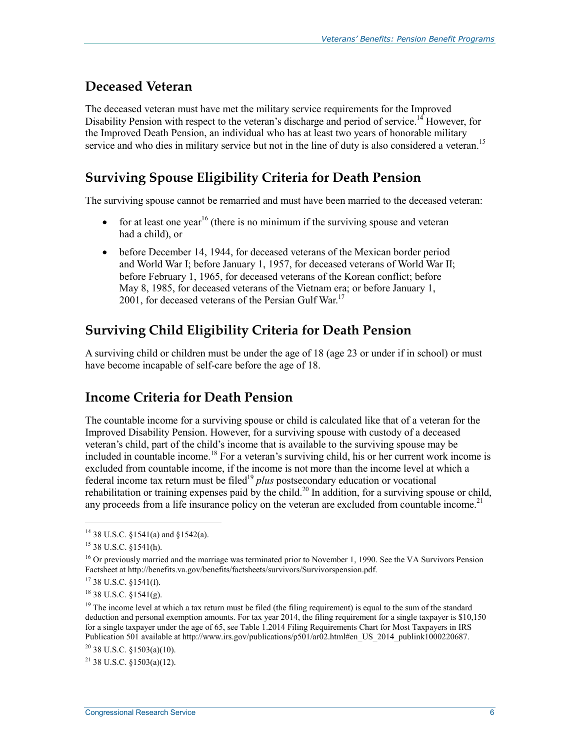#### **Deceased Veteran**

The deceased veteran must have met the military service requirements for the Improved Disability Pension with respect to the veteran's discharge and period of service.<sup>14</sup> However, for the Improved Death Pension, an individual who has at least two years of honorable military service and who dies in military service but not in the line of duty is also considered a veteran.<sup>15</sup>

### **Surviving Spouse Eligibility Criteria for Death Pension**

The surviving spouse cannot be remarried and must have been married to the deceased veteran:

- for at least one year<sup>16</sup> (there is no minimum if the surviving spouse and veteran had a child), or
- before December 14, 1944, for deceased veterans of the Mexican border period and World War I; before January 1, 1957, for deceased veterans of World War II; before February 1, 1965, for deceased veterans of the Korean conflict; before May 8, 1985, for deceased veterans of the Vietnam era; or before January 1, 2001, for deceased veterans of the Persian Gulf War.<sup>17</sup>

### **Surviving Child Eligibility Criteria for Death Pension**

A surviving child or children must be under the age of 18 (age 23 or under if in school) or must have become incapable of self-care before the age of 18.

#### **Income Criteria for Death Pension**

The countable income for a surviving spouse or child is calculated like that of a veteran for the Improved Disability Pension. However, for a surviving spouse with custody of a deceased veteran's child, part of the child's income that is available to the surviving spouse may be included in countable income.<sup>18</sup> For a veteran's surviving child, his or her current work income is excluded from countable income, if the income is not more than the income level at which a federal income tax return must be filed<sup>19</sup> *plus* postsecondary education or vocational rehabilitation or training expenses paid by the child.<sup>20</sup> In addition, for a surviving spouse or child, any proceeds from a life insurance policy on the veteran are excluded from countable income.<sup>21</sup>

<sup>14 38</sup> U.S.C. §1541(a) and §1542(a).

<sup>15 38</sup> U.S.C. §1541(h).

<sup>&</sup>lt;sup>16</sup> Or previously married and the marriage was terminated prior to November 1, 1990. See the VA Survivors Pension Factsheet at http://benefits.va.gov/benefits/factsheets/survivors/Survivorspension.pdf.

<sup>17 38</sup> U.S.C. §1541(f).

 $18$  38 U.S.C.  $81541(g)$ .

<sup>&</sup>lt;sup>19</sup> The income level at which a tax return must be filed (the filing requirement) is equal to the sum of the standard deduction and personal exemption amounts. For tax year 2014, the filing requirement for a single taxpayer is \$10,150 for a single taxpayer under the age of 65, see Table 1.2014 Filing Requirements Chart for Most Taxpayers in IRS Publication 501 available at http://www.irs.gov/publications/p501/ar02.html#en\_US\_2014\_publink1000220687.

 $20$  38 U.S.C. §1503(a)(10).

 $^{21}$  38 U.S.C.  $$1503(a)(12)$ .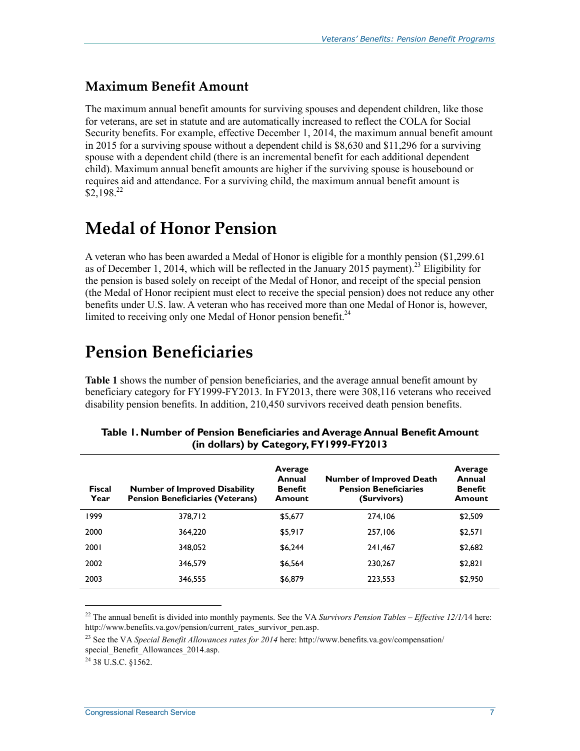#### **Maximum Benefit Amount**

The maximum annual benefit amounts for surviving spouses and dependent children, like those for veterans, are set in statute and are automatically increased to reflect the COLA for Social Security benefits. For example, effective December 1, 2014, the maximum annual benefit amount in 2015 for a surviving spouse without a dependent child is \$8,630 and \$11,296 for a surviving spouse with a dependent child (there is an incremental benefit for each additional dependent child). Maximum annual benefit amounts are higher if the surviving spouse is housebound or requires aid and attendance. For a surviving child, the maximum annual benefit amount is  $$2.198<sup>22</sup>$ 

### **Medal of Honor Pension**

A veteran who has been awarded a Medal of Honor is eligible for a monthly pension (\$1,299.61 as of December 1, 2014, which will be reflected in the January 2015 payment).<sup>23</sup> Eligibility for the pension is based solely on receipt of the Medal of Honor, and receipt of the special pension (the Medal of Honor recipient must elect to receive the special pension) does not reduce any other benefits under U.S. law. A veteran who has received more than one Medal of Honor is, however, limited to receiving only one Medal of Honor pension benefit.<sup>24</sup>

## **Pension Beneficiaries**

**Table 1** shows the number of pension beneficiaries, and the average annual benefit amount by beneficiary category for FY1999-FY2013. In FY2013, there were 308,116 veterans who received disability pension benefits. In addition, 210,450 survivors received death pension benefits.

| <b>Fiscal</b><br>Year | <b>Number of Improved Disability</b><br><b>Pension Beneficiaries (Veterans)</b> | Average<br>Annual<br><b>Benefit</b><br>Amount | <b>Number of Improved Death</b><br><b>Pension Beneficiaries</b><br>(Survivors) | Average<br>Annual<br><b>Benefit</b><br>Amount |
|-----------------------|---------------------------------------------------------------------------------|-----------------------------------------------|--------------------------------------------------------------------------------|-----------------------------------------------|
| 1999                  | 378.712                                                                         | \$5,677                                       | 274.106                                                                        | \$2,509                                       |
| 2000                  | 364,220                                                                         | \$5,917                                       | 257.106                                                                        | \$2,571                                       |
| 2001                  | 348,052                                                                         | \$6,244                                       | 241.467                                                                        | \$2,682                                       |
| 2002                  | 346,579                                                                         | \$6,564                                       | 230.267                                                                        | \$2,821                                       |
| 2003                  | 346.555                                                                         | \$6,879                                       | 223,553                                                                        | \$2,950                                       |

#### **Table 1. Number of Pension Beneficiaries and Average Annual Benefit Amount (in dollars) by Category, FY1999-FY2013**

 $^{24}$  38 U.S.C. 81562.

<sup>&</sup>lt;sup>22</sup> The annual benefit is divided into monthly payments. See the VA *Survivors Pension Tables – Effective 12/1/*14 here: http://www.benefits.va.gov/pension/current\_rates\_survivor\_pen.asp.

<sup>23</sup> See the VA *Special Benefit Allowances rates for 2014* here: http://www.benefits.va.gov/compensation/ special\_Benefit\_Allowances\_2014.asp.